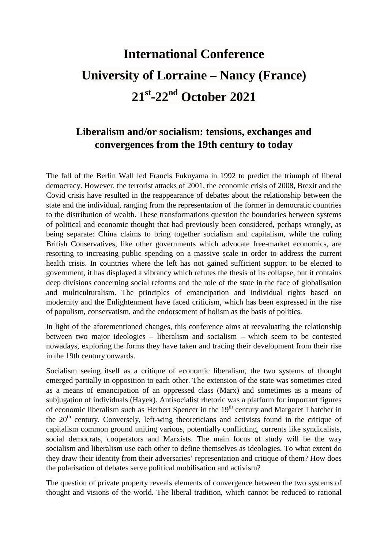# **International Conference University of Lorraine – Nancy (France) 21st-22nd October 2021**

## **Liberalism and/or socialism: tensions, exchanges and convergences from the 19th century to today**

The fall of the Berlin Wall led Francis Fukuyama in 1992 to predict the triumph of liberal democracy. However, the terrorist attacks of 2001, the economic crisis of 2008, Brexit and the Covid crisis have resulted in the reappearance of debates about the relationship between the state and the individual, ranging from the representation of the former in democratic countries to the distribution of wealth. These transformations question the boundaries between systems of political and economic thought that had previously been considered, perhaps wrongly, as being separate: China claims to bring together socialism and capitalism, while the ruling British Conservatives, like other governments which advocate free-market economics, are resorting to increasing public spending on a massive scale in order to address the current health crisis. In countries where the left has not gained sufficient support to be elected to government, it has displayed a vibrancy which refutes the thesis of its collapse, but it contains deep divisions concerning social reforms and the role of the state in the face of globalisation and multiculturalism. The principles of emancipation and individual rights based on modernity and the Enlightenment have faced criticism, which has been expressed in the rise of populism, conservatism, and the endorsement of holism as the basis of politics.

In light of the aforementioned changes, this conference aims at reevaluating the relationship between two major ideologies – liberalism and socialism – which seem to be contested nowadays, exploring the forms they have taken and tracing their development from their rise in the 19th century onwards.

Socialism seeing itself as a critique of economic liberalism, the two systems of thought emerged partially in opposition to each other. The extension of the state was sometimes cited as a means of emancipation of an oppressed class (Marx) and sometimes as a means of subjugation of individuals (Hayek). Antisocialist rhetoric was a platform for important figures of economic liberalism such as Herbert Spencer in the 19<sup>th</sup> century and Margaret Thatcher in the  $20<sup>th</sup>$  century. Conversely, left-wing theoreticians and activists found in the critique of capitalism common ground uniting various, potentially conflicting, currents like syndicalists, social democrats, cooperators and Marxists. The main focus of study will be the way socialism and liberalism use each other to define themselves as ideologies. To what extent do they draw their identity from their adversaries' representation and critique of them? How does the polarisation of debates serve political mobilisation and activism?

The question of private property reveals elements of convergence between the two systems of thought and visions of the world. The liberal tradition, which cannot be reduced to rational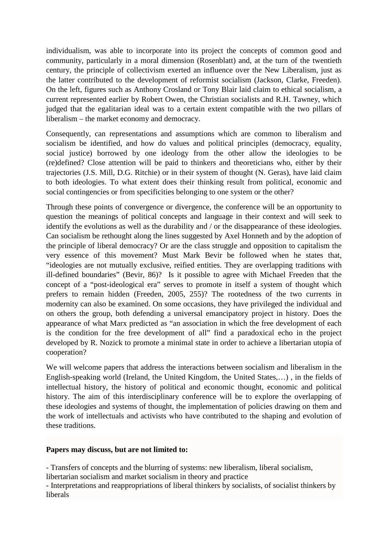individualism, was able to incorporate into its project the concepts of common good and community, particularly in a moral dimension (Rosenblatt) and, at the turn of the twentieth century, the principle of collectivism exerted an influence over the New Liberalism, just as the latter contributed to the development of reformist socialism (Jackson, Clarke, Freeden). On the left, figures such as Anthony Crosland or Tony Blair laid claim to ethical socialism, a current represented earlier by Robert Owen, the Christian socialists and R.H. Tawney, which judged that the egalitarian ideal was to a certain extent compatible with the two pillars of liberalism – the market economy and democracy.

Consequently, can representations and assumptions which are common to liberalism and socialism be identified, and how do values and political principles (democracy, equality, social justice) borrowed by one ideology from the other allow the ideologies to be (re)defined? Close attention will be paid to thinkers and theoreticians who, either by their trajectories (J.S. Mill, D.G. Ritchie) or in their system of thought (N. Geras), have laid claim to both ideologies. To what extent does their thinking result from political, economic and social contingencies or from specificities belonging to one system or the other?

Through these points of convergence or divergence, the conference will be an opportunity to question the meanings of political concepts and language in their context and will seek to identify the evolutions as well as the durability and / or the disappearance of these ideologies. Can socialism be rethought along the lines suggested by Axel Honneth and by the adoption of the principle of liberal democracy? Or are the class struggle and opposition to capitalism the very essence of this movement? Must Mark Bevir be followed when he states that, "ideologies are not mutually exclusive, reified entities. They are overlapping traditions with ill-defined boundaries" (Bevir, 86)? Is it possible to agree with Michael Freeden that the concept of a "post-ideological era" serves to promote in itself a system of thought which prefers to remain hidden (Freeden, 2005, 255)? The rootedness of the two currents in modernity can also be examined. On some occasions, they have privileged the individual and on others the group, both defending a universal emancipatory project in history. Does the appearance of what Marx predicted as "an association in which the free development of each is the condition for the free development of all" find a paradoxical echo in the project developed by R. Nozick to promote a minimal state in order to achieve a libertarian utopia of cooperation?

We will welcome papers that address the interactions between socialism and liberalism in the English-speaking world (Ireland, the United Kingdom, the United States,…) , in the fields of intellectual history, the history of political and economic thought, economic and political history. The aim of this interdisciplinary conference will be to explore the overlapping of these ideologies and systems of thought, the implementation of policies drawing on them and the work of intellectuals and activists who have contributed to the shaping and evolution of these traditions.

### **Papers may discuss, but are not limited to:**

- Transfers of concepts and the blurring of systems: new liberalism, liberal socialism,

libertarian socialism and market socialism in theory and practice

- Interpretations and reappropriations of liberal thinkers by socialists, of socialist thinkers by liberals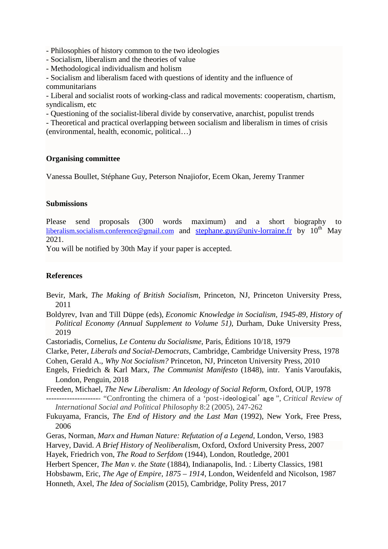- Philosophies of history common to the two ideologies

- Socialism, liberalism and the theories of value

- Methodological individualism and holism

- Socialism and liberalism faced with questions of identity and the influence of communitarians

- Liberal and socialist roots of working-class and radical movements: cooperatism, chartism, syndicalism, etc

- Questioning of the socialist-liberal divide by conservative, anarchist, populist trends

- Theoretical and practical overlapping between socialism and liberalism in times of crisis (environmental, health, economic, political…)

### **Organising committee**

Vanessa Boullet, Stéphane Guy, Peterson Nnajiofor, Ecem Okan, Jeremy Tranmer

### **Submissions**

Please send proposals (300 words maximum) and a short biography to [liberalism.socialism.conference@gmail.com](mailto:liberalism.socialism.conference@gmail.com) and [stephane.guy@univ-lorraine.fr](mailto:stephane.guy@univ-lorraine.fr) by  $10^{th}$  May 2021.

You will be notified by 30th May if your paper is accepted.

### **References**

- Bevir, Mark, *The Making of British Socialism*, Princeton, NJ, Princeton University Press, 2011
- Boldyrev, Ivan and Till Düppe (eds), *Economic Knowledge in Socialism, 1945-89, History of Political Economy (Annual Supplement to Volume 51)*, Durham, Duke University Press, 2019
- Castoriadis, Cornelius, *Le Contenu du Socialisme*, Paris, Éditions 10/18, 1979
- Clarke, Peter, *Liberals and Social-Democrats*, Cambridge, Cambridge University Press, 1978

Cohen, Gerald A., *Why Not Socialism?* Princeton, NJ, Princeton University Press, 2010

Engels, Friedrich & Karl Marx, *The Communist Manifesto* (1848), intr. Yanis Varoufakis, London, Penguin, 2018

Freeden, Michael, *The New Liberalism: An Ideology of Social Reform*, Oxford, OUP, 1978

*--------------------*- "Confronting the chimera of a 'post‐ideological' age ", *Critical Review of International Social and Political Philosophy* 8:2 (2005), 247-262

- Fukuyama, Francis, *The End of History and the Last Man* (1992), New York, Free Press, 2006
- Geras, Norman, *Marx and Human Nature: Refutation of a Legend*, London, Verso, 1983

Harvey, David. *A Brief History of Neoliberalism*, Oxford, Oxford University Press, 2007

- Hayek, Friedrich von, *The Road to Serfdom* (1944), London, Routledge, 2001
- Herbert Spencer, *The Man v. the State* (1884), Indianapolis, Ind. : Liberty Classics, 1981

Hobsbawm, Eric, *The Age of Empire, 1875 – 1914*, London, Weidenfeld and Nicolson, 1987

Honneth, Axel, *The Idea of Socialism* (2015), Cambridge, Polity Press, 2017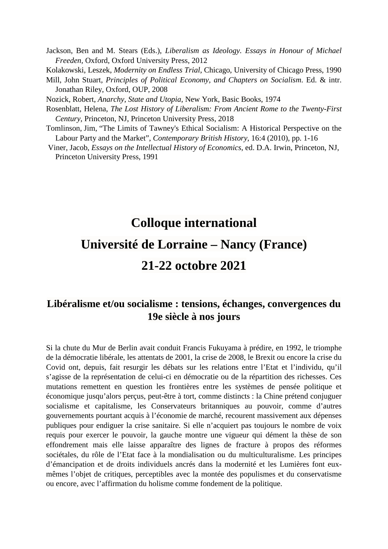Jackson, Ben and M. Stears (Eds.), *Liberalism as Ideology. Essays in Honour of Michael Freeden,* Oxford, Oxford University Press, 2012

Kolakowski, Leszek, *Modernity on Endless Trial*, Chicago, University of Chicago Press, 1990

Mill, John Stuart*, Principles of Political Economy, and Chapters on Socialism*. Ed. & intr. Jonathan Riley, Oxford, OUP, 2008

Nozick, Robert, *Anarchy, State and Utopia*, New York, Basic Books, 1974

Rosenblatt, Helena, *The Lost History of Liberalism: From Ancient Rome to the Twenty-First Century*, Princeton, NJ, Princeton University Press, 2018

Tomlinson, Jim, "The Limits of Tawney's Ethical Socialism: A Historical Perspective on the Labour Party and the Market", *Contemporary British History*, 16:4 (2010), pp. 1-16

Viner, Jacob, *Essays on the Intellectual History of Economics*, ed. D.A. Irwin, Princeton, NJ, Princeton University Press, 1991

## **Colloque international**

# **Université de Lorraine – Nancy (France)**

# **21-22 octobre 2021**

### **Libéralisme et/ou socialisme : tensions, échanges, convergences du 19e siècle à nos jours**

Si la chute du Mur de Berlin avait conduit Francis Fukuyama à prédire, en 1992, le triomphe de la démocratie libérale, les attentats de 2001, la crise de 2008, le Brexit ou encore la crise du Covid ont, depuis, fait resurgir les débats sur les relations entre l'Etat et l'individu, qu'il s'agisse de la représentation de celui-ci en démocratie ou de la répartition des richesses. Ces mutations remettent en question les frontières entre les systèmes de pensée politique et économique jusqu'alors perçus, peut-être à tort, comme distincts : la Chine prétend conjuguer socialisme et capitalisme, les Conservateurs britanniques au pouvoir, comme d'autres gouvernements pourtant acquis à l'économie de marché, recourent massivement aux dépenses publiques pour endiguer la crise sanitaire. Si elle n'acquiert pas toujours le nombre de voix requis pour exercer le pouvoir, la gauche montre une vigueur qui dément la thèse de son effondrement mais elle laisse apparaître des lignes de fracture à propos des réformes sociétales, du rôle de l'Etat face à la mondialisation ou du multiculturalisme. Les principes d'émancipation et de droits individuels ancrés dans la modernité et les Lumières font euxmêmes l'objet de critiques, perceptibles avec la montée des populismes et du conservatisme ou encore, avec l'affirmation du holisme comme fondement de la politique.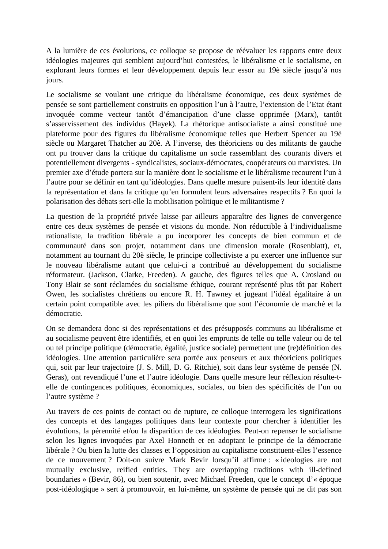A la lumière de ces évolutions, ce colloque se propose de réévaluer les rapports entre deux idéologies majeures qui semblent aujourd'hui contestées, le libéralisme et le socialisme, en explorant leurs formes et leur développement depuis leur essor au 19è siècle jusqu'à nos jours.

Le socialisme se voulant une critique du libéralisme économique, ces deux systèmes de pensée se sont partiellement construits en opposition l'un à l'autre, l'extension de l'Etat étant invoquée comme vecteur tantôt d'émancipation d'une classe opprimée (Marx), tantôt s'asservissement des individus (Hayek). La rhétorique antisocialiste a ainsi constitué une plateforme pour des figures du libéralisme économique telles que Herbert Spencer au 19è siècle ou Margaret Thatcher au 20è. A l'inverse, des théoriciens ou des militants de gauche ont pu trouver dans la critique du capitalisme un socle rassemblant des courants divers et potentiellement divergents - syndicalistes, sociaux-démocrates, coopérateurs ou marxistes. Un premier axe d'étude portera sur la manière dont le socialisme et le libéralisme recourent l'un à l'autre pour se définir en tant qu'idéologies. Dans quelle mesure puisent-ils leur identité dans la représentation et dans la critique qu'en formulent leurs adversaires respectifs ? En quoi la polarisation des débats sert-elle la mobilisation politique et le militantisme ?

La question de la propriété privée laisse par ailleurs apparaître des lignes de convergence entre ces deux systèmes de pensée et visions du monde. Non réductible à l'individualisme rationaliste, la tradition libérale a pu incorporer les concepts de bien commun et de communauté dans son projet, notamment dans une dimension morale (Rosenblatt), et, notamment au tournant du 20è siècle, le principe collectiviste a pu exercer une influence sur le nouveau libéralisme autant que celui-ci a contribué au développement du socialisme réformateur. (Jackson, Clarke, Freeden). A gauche, des figures telles que A. Crosland ou Tony Blair se sont réclamées du socialisme éthique, courant représenté plus tôt par Robert Owen, les socialistes chrétiens ou encore R. H. Tawney et jugeant l'idéal égalitaire à un certain point compatible avec les piliers du libéralisme que sont l'économie de marché et la démocratie.

On se demandera donc si des représentations et des présupposés communs au libéralisme et au socialisme peuvent être identifiés, et en quoi les emprunts de telle ou telle valeur ou de tel ou tel principe politique (démocratie, égalité, justice sociale) permettent une (re)définition des idéologies. Une attention particulière sera portée aux penseurs et aux théoriciens politiques qui, soit par leur trajectoire (J. S. Mill, D. G. Ritchie), soit dans leur système de pensée (N. Geras), ont revendiqué l'une et l'autre idéologie. Dans quelle mesure leur réflexion résulte-telle de contingences politiques, économiques, sociales, ou bien des spécificités de l'un ou l'autre système ?

Au travers de ces points de contact ou de rupture, ce colloque interrogera les significations des concepts et des langages politiques dans leur contexte pour chercher à identifier les évolutions, la pérennité et/ou la disparition de ces idéologies. Peut-on repenser le socialisme selon les lignes invoquées par Axel Honneth et en adoptant le principe de la démocratie libérale ? Ou bien la lutte des classes et l'opposition au capitalisme constituent-elles l'essence de ce mouvement ? Doit-on suivre Mark Bevir lorsqu'il affirme : « ideologies are not mutually exclusive, reified entities. They are overlapping traditions with ill-defined boundaries » (Bevir, 86), ou bien soutenir, avec Michael Freeden, que le concept d'« époque post-idéologique » sert à promouvoir, en lui-même, un système de pensée qui ne dit pas son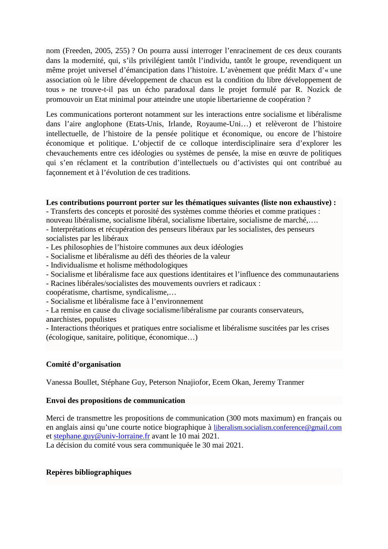nom (Freeden, 2005, 255) ? On pourra aussi interroger l'enracinement de ces deux courants dans la modernité, qui, s'ils privilégient tantôt l'individu, tantôt le groupe, revendiquent un même projet universel d'émancipation dans l'histoire. L'avènement que prédit Marx d'« une association où le libre développement de chacun est la condition du libre développement de tous » ne trouve-t-il pas un écho paradoxal dans le projet formulé par R. Nozick de promouvoir un Etat minimal pour atteindre une utopie libertarienne de coopération ?

Les communications porteront notamment sur les interactions entre socialisme et libéralisme dans l'aire anglophone (Etats-Unis, Irlande, Royaume-Uni…) et relèveront de l'histoire intellectuelle, de l'histoire de la pensée politique et économique, ou encore de l'histoire économique et politique. L'objectif de ce colloque interdisciplinaire sera d'explorer les chevauchements entre ces idéologies ou systèmes de pensée, la mise en œuvre de politiques qui s'en réclament et la contribution d'intellectuels ou d'activistes qui ont contribué au façonnement et à l'évolution de ces traditions.

### **Les contributions pourront porter sur les thématiques suivantes (liste non exhaustive) :**

- Transferts des concepts et porosité des systèmes comme théories et comme pratiques : nouveau libéralisme, socialisme libéral, socialisme libertaire, socialisme de marché,….

- Interprétations et récupération des penseurs libéraux par les socialistes, des penseurs socialistes par les libéraux
- Les philosophies de l'histoire communes aux deux idéologies
- Socialisme et libéralisme au défi des théories de la valeur
- Individualisme et holisme méthodologiques
- Socialisme et libéralisme face aux questions identitaires et l'influence des communautariens

- Racines libérales/socialistes des mouvements ouvriers et radicaux :

coopératisme, chartisme, syndicalisme,…

- Socialisme et libéralisme face à l'environnement
- La remise en cause du clivage socialisme/libéralisme par courants conservateurs,

anarchistes, populistes

- Interactions théoriques et pratiques entre socialisme et libéralisme suscitées par les crises (écologique, sanitaire, politique, économique…)

### **Comité d'organisation**

Vanessa Boullet, Stéphane Guy, Peterson Nnajiofor, Ecem Okan, Jeremy Tranmer

### **Envoi des propositions de communication**

Merci de transmettre les propositions de communication (300 mots maximum) en français ou en anglais ainsi qu'une courte notice biographique à [liberalism.socialism.conference@gmail.com](mailto:liberalism.socialism.conference@gmail.com) et [stephane.guy@univ-lorraine.fr](mailto:stephane.guy@univ-lorraine.fr) avant le 10 mai 2021.

La décision du comité vous sera communiquée le 30 mai 2021.

### **Repères bibliographiques**